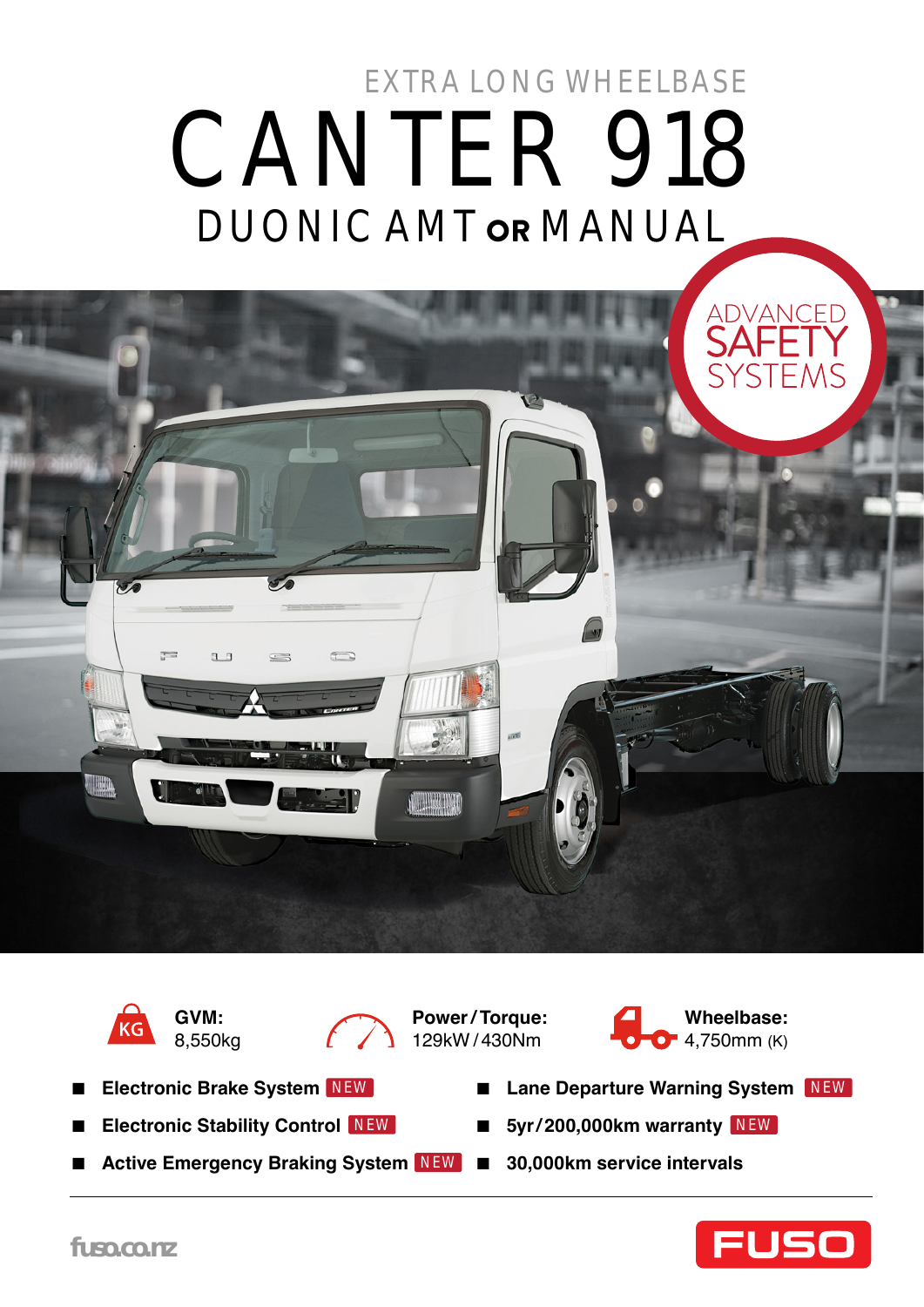# DUONIC AMT or MANUAL CANTER 918 EXTRA LONG WHEELBASE





**GVM:**  8,550kg



**Power / Torque:**  129kW / 430Nm



- **Electronic Brake System** NEW
- **Electronic Stability Control** NEW
- Active Emergency Braking System NEW 30,000km service intervals
- Lane Departure Warning System NEW
- NEW 5yr/200,000km warranty NEW
	-

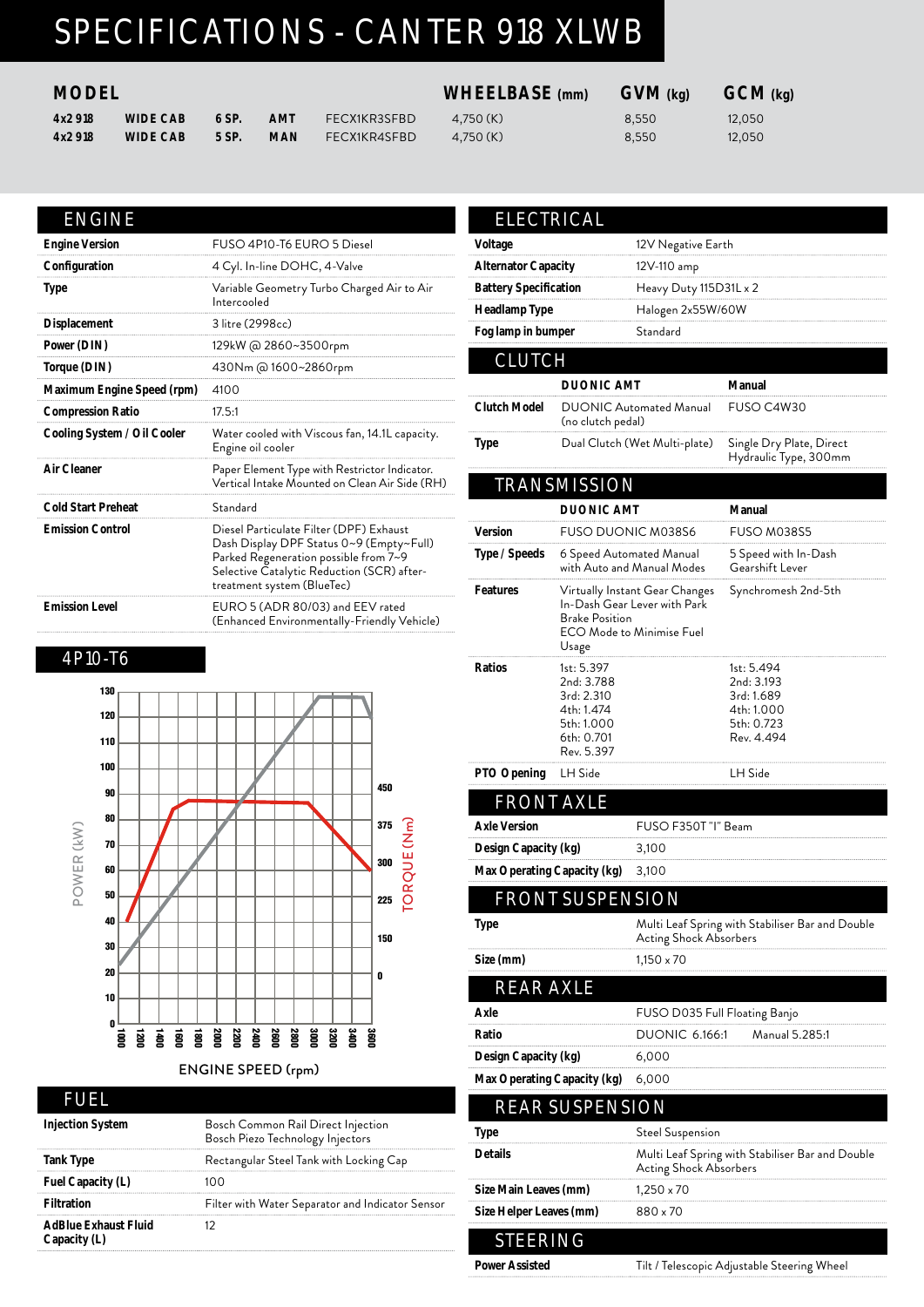## SPECIFICATIONS - CANTER 918 XLWB

#### **MODEL WHEELBASE (mm) GVM (kg) GCM (kg)**

| 4x2918 | <b>WIDE CAB</b> | 6 SP. | AMT        | <b>FECX1KR3SFBD</b> | 4.750 (K) | 8.550 | 12,050 |
|--------|-----------------|-------|------------|---------------------|-----------|-------|--------|
| 4x2918 | <b>WIDE CAB</b> | 5 SP. | <b>MAN</b> | FECX1KR4SFBD        | 4.750(K)  | 8,550 | 12,050 |

|  | × | ◥ |  |
|--|---|---|--|
|  |   |   |  |

| <b>Engine Version</b>       | FUSO 4P10-T6 EURO 5 Diesel                                                                                                                                                                               |
|-----------------------------|----------------------------------------------------------------------------------------------------------------------------------------------------------------------------------------------------------|
| Configuration               | 4 Cyl. In-line DOHC, 4-Valve                                                                                                                                                                             |
| Type                        | Variable Geometry Turbo Charged Air to Air<br>Intercooled                                                                                                                                                |
| Displacement                | 3 litre (2998cc)                                                                                                                                                                                         |
| Power (DIN)                 | 129kW @ 2860~3500rpm                                                                                                                                                                                     |
| Torque (DIN)                | 430Nm @ 1600~2860rpm                                                                                                                                                                                     |
| Maximum Engine Speed (rpm)  | 4100                                                                                                                                                                                                     |
| <b>Compression Ratio</b>    | 17.5:1                                                                                                                                                                                                   |
| Cooling System / Oil Cooler | Water cooled with Viscous fan, 14.1L capacity.<br>Engine oil cooler                                                                                                                                      |
| Air Cleaner                 | Paper Element Type with Restrictor Indicator.<br>Vertical Intake Mounted on Clean Air Side (RH)                                                                                                          |
| Cold Start Preheat          | Standard                                                                                                                                                                                                 |
| <b>Emission Control</b>     | Diesel Particulate Filter (DPF) Exhaust<br>Dash Display DPF Status 0~9 (Empty~Full)<br>Parked Regeneration possible from 7~9<br>Selective Catalytic Reduction (SCR) after-<br>treatment system (BlueTec) |
| <b>Emission Level</b>       | EURO 5 (ADR 80/03) and EEV rated<br>(Enhanced Environmentally-Friendly Vehicle)                                                                                                                          |

#### 4P10-T6



#### ENGINE SPEED (rpm) ENGINE SPEED (rpm)

#### FUEL

| <b>Injection System</b>                     | Bosch Common Rail Direct Injection<br>Bosch Piezo Technology Injectors |
|---------------------------------------------|------------------------------------------------------------------------|
| Tank Type                                   | Rectangular Steel Tank with Locking Cap                                |
| Fuel Capacity (L)                           |                                                                        |
| <b>Filtration</b>                           | Filter with Water Separator and Indicator Sensor                       |
| <b>AdBlue Exhaust Fluid</b><br>Capacity (L) |                                                                        |

| Voltage<br>Alternator Capacity                              |                                                                                                | 12V Negative Earth                                                                          |                                                                                  |  |  |  |  |
|-------------------------------------------------------------|------------------------------------------------------------------------------------------------|---------------------------------------------------------------------------------------------|----------------------------------------------------------------------------------|--|--|--|--|
| <b>Battery Specification</b>                                |                                                                                                |                                                                                             | 12V-110 amp<br>Heavy Duty 115D31L x 2                                            |  |  |  |  |
| Headlamp Type                                               |                                                                                                | Halogen 2x55W/60W                                                                           |                                                                                  |  |  |  |  |
| Fog lamp in bumper                                          |                                                                                                | Standard                                                                                    |                                                                                  |  |  |  |  |
| <b>CLUTCH</b>                                               |                                                                                                |                                                                                             |                                                                                  |  |  |  |  |
|                                                             | <b>DUONIC AMT</b>                                                                              |                                                                                             | Manual                                                                           |  |  |  |  |
| Clutch Model                                                | (no clutch pedal)                                                                              | <b>DUONIC Automated Manual</b>                                                              | FUSO C4W30                                                                       |  |  |  |  |
| Type                                                        |                                                                                                | Dual Clutch (Wet Multi-plate)                                                               | Single Dry Plate, Direct<br>Hydraulic Type, 300mm                                |  |  |  |  |
|                                                             | <b>TRANSMISSION</b>                                                                            |                                                                                             |                                                                                  |  |  |  |  |
|                                                             | <b>DUONIC AMT</b>                                                                              |                                                                                             | Manual                                                                           |  |  |  |  |
| Version                                                     |                                                                                                | FUSO DUONIC M038S6                                                                          | FUSO M038S5                                                                      |  |  |  |  |
| Type / Speeds                                               |                                                                                                | 6 Speed Automated Manual<br>with Auto and Manual Modes                                      | 5 Speed with In-Dash<br>Gearshift Lever                                          |  |  |  |  |
| Features                                                    | <b>Brake Position</b><br>Usage                                                                 | Virtually Instant Gear Changes<br>In-Dash Gear Lever with Park<br>ECO Mode to Minimise Fuel | Synchromesh 2nd-5th                                                              |  |  |  |  |
| Ratios                                                      | 1st: 5.397<br>2nd: 3.788<br>3rd: 2.310<br>4th: 1.474<br>5th: 1.000<br>6th: 0.701<br>Rev. 5.397 |                                                                                             | 1st: 5.494<br>2nd: 3.193<br>3rd: 1.689<br>4th: 1.000<br>5th: 0.723<br>Rev. 4.494 |  |  |  |  |
| PTO Opening                                                 | LH Side                                                                                        |                                                                                             | LH Side                                                                          |  |  |  |  |
|                                                             | <b>FRONT AXLE</b>                                                                              |                                                                                             |                                                                                  |  |  |  |  |
| Axle Version                                                |                                                                                                | FUSO F350T "I" Beam                                                                         |                                                                                  |  |  |  |  |
| Design Capacity (kg)                                        |                                                                                                | 3,100                                                                                       |                                                                                  |  |  |  |  |
| Max Operating Capacity (kg)                                 |                                                                                                | 3.100                                                                                       |                                                                                  |  |  |  |  |
|                                                             | <b>FRONT SUSPENSION</b>                                                                        |                                                                                             |                                                                                  |  |  |  |  |
| Type                                                        |                                                                                                | Acting Shock Absorbers                                                                      | Multi Leaf Spring with Stabiliser Bar and Double                                 |  |  |  |  |
| Size (mm)                                                   |                                                                                                | 1,150 x 70                                                                                  |                                                                                  |  |  |  |  |
| <b>REAR AXLE</b>                                            |                                                                                                |                                                                                             |                                                                                  |  |  |  |  |
| Axle                                                        |                                                                                                | FUSO D035 Full Floating Banjo                                                               |                                                                                  |  |  |  |  |
| Ratio                                                       |                                                                                                | DUONIC 6.166:1                                                                              | Manual 5.285:1                                                                   |  |  |  |  |
| Design Capacity (kg)                                        |                                                                                                | 6,000                                                                                       |                                                                                  |  |  |  |  |
| Max Operating Capacity (kg)                                 |                                                                                                | 6,000                                                                                       |                                                                                  |  |  |  |  |
|                                                             | <b>REAR SUSPENSION</b>                                                                         |                                                                                             |                                                                                  |  |  |  |  |
| Type<br>Steel Suspension                                    |                                                                                                |                                                                                             |                                                                                  |  |  |  |  |
| Details<br>Multi Leaf Spring with Stabiliser Bar and Double |                                                                                                |                                                                                             |                                                                                  |  |  |  |  |
|                                                             |                                                                                                | Acting Shock Absorbers                                                                      |                                                                                  |  |  |  |  |
| Size Main Leaves (mm)                                       |                                                                                                | 1,250 x 70                                                                                  |                                                                                  |  |  |  |  |
| Size Helper Leaves (mm)                                     |                                                                                                | 880 x 70                                                                                    |                                                                                  |  |  |  |  |

Power Assisted **Tilt / Telescopic Adjustable Steering Wheel**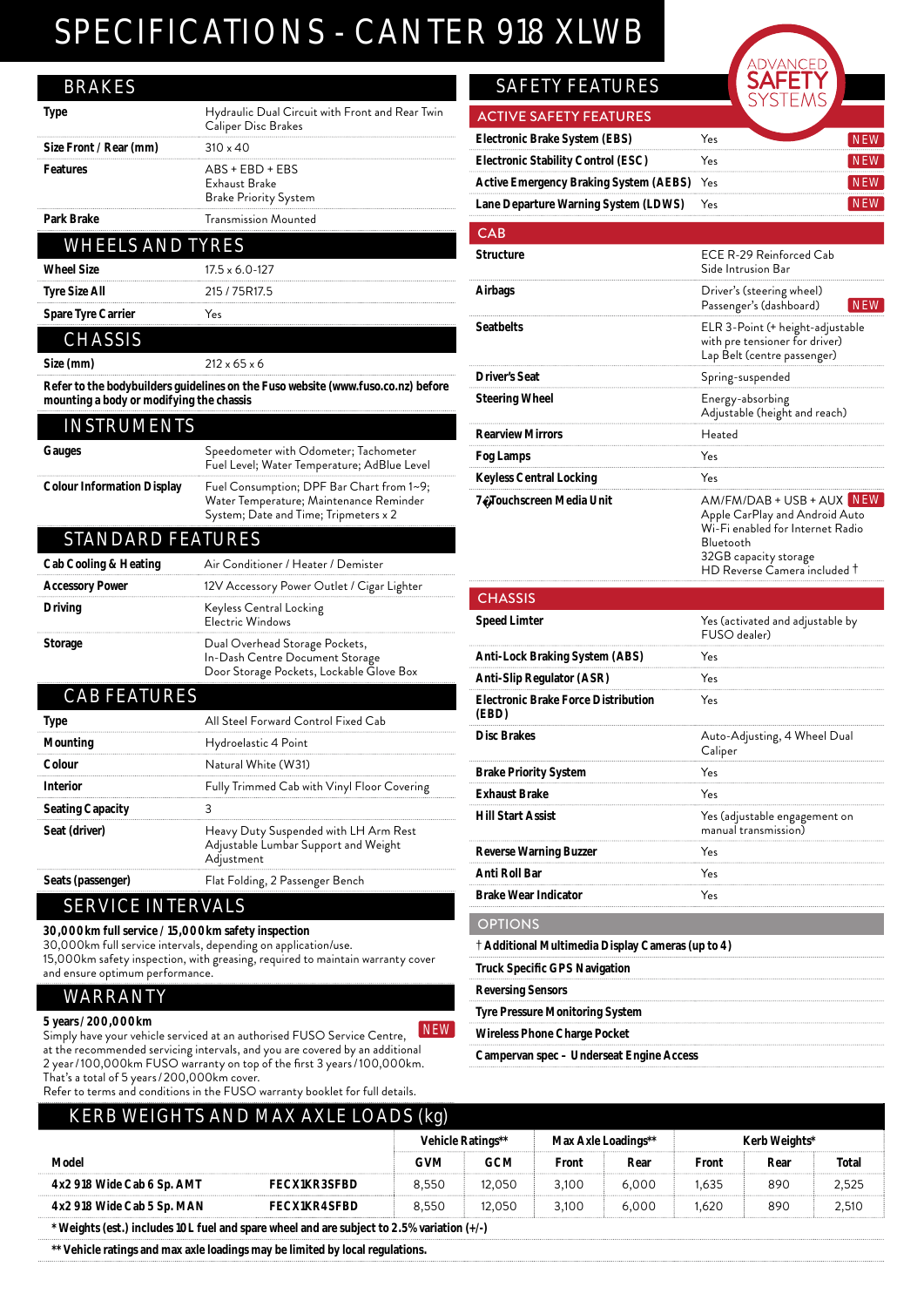### SPECIFICATIONS - CANTER 918 XLWB

| <b>BRAKES</b>                            |                                                                                                                               |
|------------------------------------------|-------------------------------------------------------------------------------------------------------------------------------|
| Type                                     | Hydraulic Dual Circuit with Front and Rear Twin<br>Caliper Disc Brakes                                                        |
| Size Front / Rear (mm)                   | $310 \times 40$                                                                                                               |
| Features                                 | ABS + EBD + EBS<br>Exhaust Brake<br><b>Brake Priority System</b>                                                              |
| Park Brake                               | Transmission Mounted                                                                                                          |
| <b>WHEELS AND TYRES</b>                  |                                                                                                                               |
| <b>Wheel Size</b>                        | $17.5 \times 6.0 - 127$                                                                                                       |
| Tyre Size All                            | 215 / 75R17.5                                                                                                                 |
| <b>Spare Tyre Carrier</b>                | Yes                                                                                                                           |
| <b>CHASSIS</b>                           |                                                                                                                               |
| Size (mm)                                | $212 \times 65 \times 6$                                                                                                      |
| mounting a body or modifying the chassis | Refer to the bodybuilders guidelines on the Fuso website (www.fuso.co.nz) before                                              |
| <b>INSTRUMENTS</b>                       |                                                                                                                               |
| Gauges                                   | Speedometer with Odometer; Tachometer<br>Fuel Level; Water Temperature; AdBlue Level                                          |
| Colour Information Display               | Fuel Consumption; DPF Bar Chart from 1~9;<br>Water Temperature; Maintenance Reminder<br>System; Date and Time; Tripmeters x 2 |
| <b>STANDARD FEATURES</b>                 |                                                                                                                               |
| <b>Cab Cooling &amp; Heating</b>         | Air Conditioner / Heater / Demister                                                                                           |
| Accessory Power                          | 12V Accessory Power Outlet / Cigar Lighter                                                                                    |
| Driving                                  | Keyless Central Locking<br>Electric Windows                                                                                   |
| Storage                                  | Dual Overhead Storage Pockets,<br>In-Dash Centre Document Storage<br>Door Storage Pockets, Lockable Glove Box                 |
| <b>CAB FEATURES</b>                      |                                                                                                                               |

| AD FEAIURES             |                                                                                             |
|-------------------------|---------------------------------------------------------------------------------------------|
| Type                    | All Steel Forward Control Fixed Cab                                                         |
| Mounting                | Hydroelastic 4 Point                                                                        |
| Colour                  | Natural White (W31)                                                                         |
| Interior                | Fully Trimmed Cab with Vinyl Floor Covering                                                 |
| <b>Seating Capacity</b> |                                                                                             |
| Seat (driver)           | Heavy Duty Suspended with LH Arm Rest<br>Adjustable Lumbar Support and Weight<br>Adjustment |
| Seats (passenger)       | Flat Folding, 2 Passenger Bench                                                             |
|                         |                                                                                             |

#### SERVICE INTERVALS

#### **30,000km full service / 15,000km safety inspection**

30,000km full service intervals, depending on application/use. 15,000km safety inspection, with greasing, required to maintain warranty cover and ensure optimum performance.

#### WARRANTY

#### **5 years / 200,000km**

- Julie 2003, Common Sylventian Control of Terminian Simply have your vehicle service Centre, ALW at the recommended servicing intervals, and you are covered by an additional 2 year / 100,000km FUSO warranty on top of the first 3 years / 100,000km. That's a total of 5 years / 200,000km cover.

Refer to terms and conditions in the FUSO warranty booklet for full details.

### **SAFETY FEATURES**

| <b>ACTIVE SAFETY FEATURES</b>              |     |  |
|--------------------------------------------|-----|--|
| Electronic Brake System (EBS)              | Yes |  |
| <b>Electronic Stability Control (ESC)</b>  | Yes |  |
| Active Emergency Braking System (AEBS) Yes |     |  |
| Lane Departure Warning System (LDWS)       | Yes |  |
|                                            |     |  |

151

| CAB                                                 |                                                                                                                                                                                 |  |  |  |  |  |
|-----------------------------------------------------|---------------------------------------------------------------------------------------------------------------------------------------------------------------------------------|--|--|--|--|--|
| <b>Structure</b>                                    | ECE R-29 Reinforced Cab<br>Side Intrusion Bar                                                                                                                                   |  |  |  |  |  |
| Airbags                                             | Driver's (steering wheel)<br>Passenger's (dashboard)<br><b>NEW</b>                                                                                                              |  |  |  |  |  |
| Seatbelts                                           | ELR 3-Point (+ height-adjustable<br>with pre tensioner for driver)<br>Lap Belt (centre passenger)                                                                               |  |  |  |  |  |
| Driver's Seat                                       | Spring-suspended                                                                                                                                                                |  |  |  |  |  |
| Steering Wheel                                      | Energy-absorbing<br>Adjustable (height and reach)                                                                                                                               |  |  |  |  |  |
| <b>Rearview Mirrors</b>                             | Heated                                                                                                                                                                          |  |  |  |  |  |
| Fog Lamps                                           | Yes                                                                                                                                                                             |  |  |  |  |  |
| <b>Keyless Central Locking</b>                      | Yes                                                                                                                                                                             |  |  |  |  |  |
| 7" Touchscreen Media Unit                           | AM/FM/DAB + USB + AUX NEW<br>Apple CarPlay and Android Auto<br>Wi-Fi enabled for Internet Radio<br>Bluetooth<br>32GB capacity storage<br>$HD$ Reverse Camera included $\dagger$ |  |  |  |  |  |
| <b>CHASSIS</b>                                      |                                                                                                                                                                                 |  |  |  |  |  |
| Speed Limter                                        | Yes (activated and adjustable by<br>FUSO dealer)                                                                                                                                |  |  |  |  |  |
| Anti-Lock Braking System (ABS)                      | Yes                                                                                                                                                                             |  |  |  |  |  |
| Anti-Slip Regulator (ASR)                           | Yes                                                                                                                                                                             |  |  |  |  |  |
| <b>Electronic Brake Force Distribution</b><br>(EBD) | Yes                                                                                                                                                                             |  |  |  |  |  |
| <b>Disc Brakes</b>                                  | Auto-Adjusting, 4 Wheel Dual<br>Caliner                                                                                                                                         |  |  |  |  |  |

| Yes                                                       |
|-----------------------------------------------------------|
| Yes                                                       |
| Yes (adjustable engagement on<br>manual transmission)     |
| Yes                                                       |
| Yes                                                       |
| Yes                                                       |
|                                                           |
| $\dagger$ Additional Multimedia Display Cameras (up to 4) |
|                                                           |
|                                                           |
|                                                           |
|                                                           |
|                                                           |

**Campervan spec – Underseat Engine Access**

| <b>KERB WEIGHTS AND MAX AXLE LOADS (kg)</b>                                                |                     |                   |            |                     |       |               |      |       |
|--------------------------------------------------------------------------------------------|---------------------|-------------------|------------|---------------------|-------|---------------|------|-------|
|                                                                                            |                     | Vehicle Ratings** |            | Max Axle Loadings** |       | Kerb Weights* |      |       |
| Model                                                                                      |                     | <b>GVM</b>        | <b>GCM</b> | Front               | Rear  | Front         | Rear | Total |
| 4x2 918 Wide Cab 6 Sp. AMT                                                                 | <b>FECX1KR3SFBD</b> | 8.550             | 12.050     | 3.100               | 6.000 | 1.635         | 890  | 2.525 |
| 4x2 918 Wide Cab 5 Sp. MAN                                                                 | <b>FECX1KR4SFBD</b> | 8.550             | 12.050     | 3.100               | 6.000 | .620          | 890  | 2,510 |
| * Weights (est.) includes 10L fuel and spare wheel and are subject to 2.5% variation (+/-) |                     |                   |            |                     |       |               |      |       |

**\*\* Vehicle ratings and max axle loadings may be limited by local regulations.**